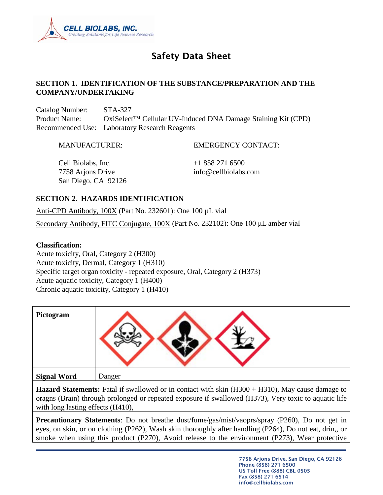

# Safety Data Sheet

### **SECTION 1. IDENTIFICATION OF THE SUBSTANCE/PREPARATION AND THE COMPANY/UNDERTAKING**

Catalog Number: STA-327 Product Name: OxiSelect™ Cellular UV-Induced DNA Damage Staining Kit (CPD) Recommended Use: Laboratory Research Reagents

MANUFACTURER: EMERGENCY CONTACT:

Cell Biolabs, Inc.  $+18582716500$ 7758 Arjons Drive info@cellbiolabs.com San Diego, CA 92126

### **SECTION 2. HAZARDS IDENTIFICATION**

Anti-CPD Antibody, 100X (Part No. 232601): One 100 µL vial

Secondary Antibody, FITC Conjugate, 100X (Part No. 232102): One 100 μL amber vial

#### **Classification:**

Acute toxicity, Oral, Category 2 (H300) Acute toxicity, Dermal, Category 1 (H310) Specific target organ toxicity - repeated exposure, Oral, Category 2 (H373) Acute aquatic toxicity, Category 1 (H400) Chronic aquatic toxicity, Category 1 (H410)

| Pictogram          |        |
|--------------------|--------|
| <b>Signal Word</b> | Danger |

**Hazard Statements:** Fatal if swallowed or in contact with skin (H300 + H310), May cause damage to oragns (Brain) through prolonged or repeated exposure if swallowed (H373), Very toxic to aquatic life with long lasting effects (H410),

**Precautionary Statements**: Do not breathe dust/fume/gas/mist/vaoprs/spray (P260), Do not get in eyes, on skin, or on clothing (P262), Wash skin thoroughly after handling (P264), Do not eat, drin,, or smoke when using this product (P270), Avoid release to the environment (P273), Wear protective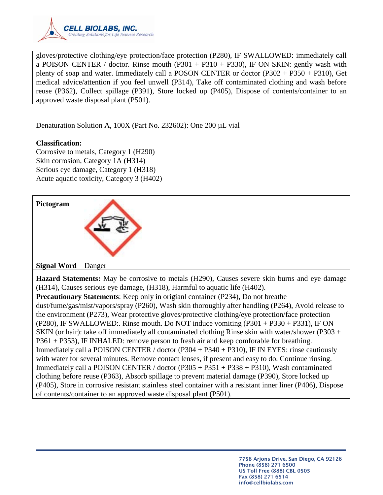

gloves/protective clothing/eye protection/face protection (P280), IF SWALLOWED: immediately call a POISON CENTER / doctor. Rinse mouth  $(P301 + P310 + P330)$ , IF ON SKIN: gently wash with plenty of soap and water. Immediately call a POSON CENTER or doctor (P302 + P350 + P310), Get medical advice/attention if you feel unwell (P314), Take off contaminated clothing and wash before reuse (P362), Collect spillage (P391), Store locked up (P405), Dispose of contents/container to an approved waste disposal plant (P501).

Denaturation Solution A, 100X (Part No. 232602): One 200 µL vial

### **Classification:**

Corrosive to metals, Category 1 (H290) Skin corrosion, Category 1A (H314) Serious eye damage, Category 1 (H318) Acute aquatic toxicity, Category 3 (H402)

| Pictogram            |  |
|----------------------|--|
| Signal Word   Danger |  |
|                      |  |

**Hazard Statements:** May be corrosive to metals (H290), Causes severe skin burns and eye damage (H314), Causes serious eye damage, (H318), Harmful to aquatic life (H402).

**Precautionary Statements**: Keep only in origianl container (P234), Do not breathe dust/fume/gas/mist/vapors/spray (P260), Wash skin thoroughly after handling (P264), Avoid release to the environment (P273), Wear protective gloves/protective clothing/eye protection/face protection (P280), IF SWALLOWED:. Rinse mouth. Do NOT induce vomiting (P301 + P330 + P331), IF ON SKIN (or hair): take off immediately all contaminated clothing Rinse skin with water/shower (P303 + P361 + P353), IF INHALED: remove person to fresh air and keep comforable for breathing. Immediately call a POISON CENTER / doctor (P304 + P340 + P310), IF IN EYES: rinse cautiously with water for several minutes. Remove contact lenses, if present and easy to do. Continue rinsing. Immediately call a POISON CENTER / doctor (P305 + P351 + P338 + P310), Wash contaminated clothing before reuse (P363), Absorb spillage to prevent material damage (P390), Store locked up (P405), Store in corrosive resistant stainless steel container with a resistant inner liner (P406), Dispose of contents/container to an approved waste disposal plant (P501).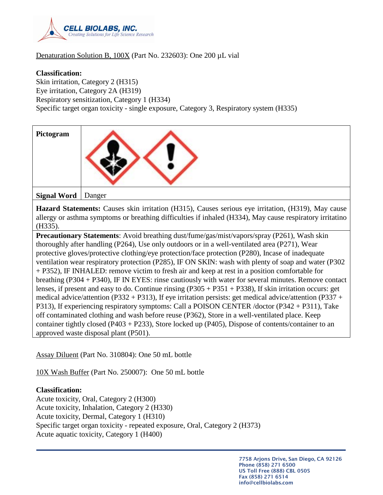

### Denaturation Solution B, 100X (Part No. 232603): One 200 µL vial

#### **Classification:**

Skin irritation, Category 2 (H315) Eye irritation, Category 2A (H319) Respiratory sensitization, Category 1 (H334) Specific target organ toxicity - single exposure, Category 3, Respiratory system (H335)

| Pictogram                             |                                                                                                                                                                                                                                                                                                                                                                                                                                                                                                                                                                                                                                                                                                                                                                                                                                                                                                                                                                                                                                                                                                                                                                 |
|---------------------------------------|-----------------------------------------------------------------------------------------------------------------------------------------------------------------------------------------------------------------------------------------------------------------------------------------------------------------------------------------------------------------------------------------------------------------------------------------------------------------------------------------------------------------------------------------------------------------------------------------------------------------------------------------------------------------------------------------------------------------------------------------------------------------------------------------------------------------------------------------------------------------------------------------------------------------------------------------------------------------------------------------------------------------------------------------------------------------------------------------------------------------------------------------------------------------|
| <b>Signal Word</b><br>Danger          |                                                                                                                                                                                                                                                                                                                                                                                                                                                                                                                                                                                                                                                                                                                                                                                                                                                                                                                                                                                                                                                                                                                                                                 |
| (H335).                               | <b>Hazard Statements:</b> Causes skin irritation (H315), Causes serious eye irritation, (H319), May cause<br>allergy or asthma symptoms or breathing difficulties if inhaled (H334), May cause respiratory irritatino                                                                                                                                                                                                                                                                                                                                                                                                                                                                                                                                                                                                                                                                                                                                                                                                                                                                                                                                           |
| approved waste disposal plant (P501). | <b>Precautionary Statements:</b> Avoid breathing dust/fume/gas/mist/vapors/spray (P261), Wash skin<br>thoroughly after handling (P264), Use only outdoors or in a well-ventilated area (P271), Wear<br>protective gloves/protective clothing/eye protection/face protection (P280), Incase of inadequate<br>ventilation wear respiratory protection (P285), IF ON SKIN: wash with plenty of soap and water (P302<br>+ P352), IF INHALED: remove victim to fresh air and keep at rest in a position comfortable for<br>breathing (P304 + P340), IF IN EYES: rinse cautiously with water for several minutes. Remove contact<br>lenses, if present and easy to do. Continue rinsing $(P305 + P351 + P338)$ , If skin irritation occurs: get<br>medical advice/attention (P332 + P313), If eye irritation persists: get medical advice/attention (P337 +<br>P313), If experiencing respiratory symptoms: Call a POISON CENTER /doctor (P342 + P311), Take<br>off contaminated clothing and wash before reuse (P362), Store in a well-ventilated place. Keep<br>container tightly closed (P403 + P233), Store locked up (P405), Dispose of contents/container to an |

Assay Diluent (Part No. 310804): One 50 mL bottle

10X Wash Buffer (Part No. 250007): One 50 mL bottle

#### **Classification:**

Acute toxicity, Oral, Category 2 (H300) Acute toxicity, Inhalation, Category 2 (H330) Acute toxicity, Dermal, Category 1 (H310) Specific target organ toxicity - repeated exposure, Oral, Category 2 (H373) Acute aquatic toxicity, Category 1 (H400)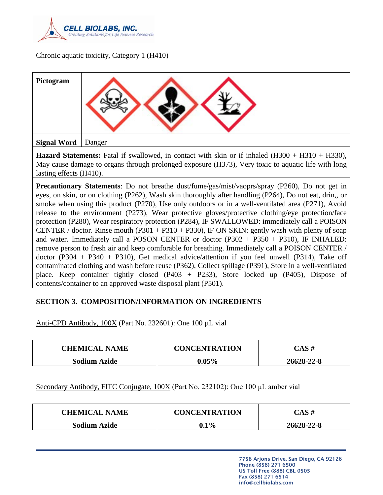

Chronic aquatic toxicity, Category 1 (H410)

| Pictogram   |        |
|-------------|--------|
| Signal Word | Danger |

**Hazard Statements:** Fatal if swallowed, in contact with skin or if inhaled (H300 + H310 + H330), May cause damage to organs through prolonged exposure (H373), Very toxic to aquatic life with long lasting effects (H410).

**Precautionary Statements**: Do not breathe dust/fume/gas/mist/vaoprs/spray (P260), Do not get in eyes, on skin, or on clothing (P262), Wash skin thoroughly after handling (P264), Do not eat, drin,, or smoke when using this product (P270), Use only outdoors or in a well-ventilated area (P271), Avoid release to the environment (P273), Wear protective gloves/protective clothing/eye protection/face protection (P280), Wear respiratory protection (P284), IF SWALLOWED: immediately call a POISON CENTER / doctor. Rinse mouth (P301 + P310 + P330), IF ON SKIN: gently wash with plenty of soap and water. Immediately call a POSON CENTER or doctor  $(P302 + P350 + P310)$ , IF INHALED: remove person to fresh air and keep comforable for breathing. Immediately call a POISON CENTER / doctor (P304 + P340 + P310), Get medical advice/attention if you feel unwell (P314), Take off contaminated clothing and wash before reuse (P362), Collect spillage (P391), Store in a well-ventilated place. Keep container tightly closed (P403 + P233), Store locked up (P405), Dispose of contents/container to an approved waste disposal plant (P501).

### **SECTION 3. COMPOSITION/INFORMATION ON INGREDIENTS**

Anti-CPD Antibody, 100X (Part No. 232601): One 100 µL vial

| <b>CHEMICAL NAME</b> | <b>CONCENTRATION</b> | CAS #      |
|----------------------|----------------------|------------|
| <b>Sodium Azide</b>  | $0.05\%$             | 26628-22-8 |

Secondary Antibody, FITC Conjugate, 100X (Part No. 232102): One 100 μL amber vial

| <b>CHEMICAL NAME</b> | <b>CONCENTRATION</b> | $\bigcirc$ AS # |
|----------------------|----------------------|-----------------|
| <b>Sodium Azide</b>  | $0.1\%$              | 26628-22-8      |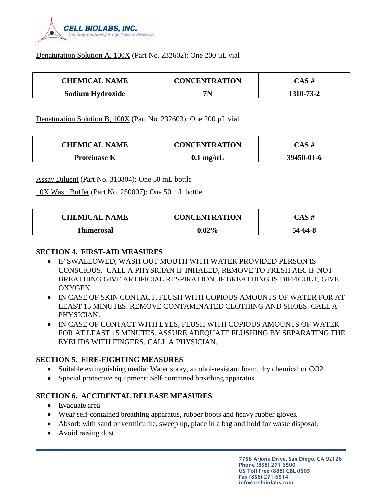

#### Denaturation Solution A, 100X (Part No. 232602): One 200 µL vial

| <b>CHEMICAL NAME</b> | <b>CONCENTRATION</b> | CAS #     |
|----------------------|----------------------|-----------|
| Sodium Hydroxide     | 7N                   | 1310-73-2 |

Denaturation Solution B, 100X (Part No. 232603): One 200 µL vial

| <b>CHEMICAL NAME</b> | <b>CONCENTRATION</b> | CAS #      |
|----------------------|----------------------|------------|
| <b>Proteinase K</b>  | $0.1$ mg/nL          | 39450-01-6 |

Assay Diluent (Part No. 310804): One 50 mL bottle

10X Wash Buffer (Part No. 250007): One 50 mL bottle

| <b>CHEMICAL NAME</b> | <b>CONCENTRATION</b> | CAS #   |
|----------------------|----------------------|---------|
| <b>Thimerosal</b>    | $0.02\%$             | 54-64-8 |

### **SECTION 4. FIRST-AID MEASURES**

- IF SWALLOWED, WASH OUT MOUTH WITH WATER PROVIDED PERSON IS CONSCIOUS. CALL A PHYSICIAN IF INHALED, REMOVE TO FRESH AIR. IF NOT BREATHING GIVE ARTIFICIAL RESPIRATION. IF BREATHING IS DIFFICULT, GIVE OXYGEN.
- IN CASE OF SKIN CONTACT, FLUSH WITH COPIOUS AMOUNTS OF WATER FOR AT LEAST 15 MINUTES. REMOVE CONTAMINATED CLOTHING AND SHOES. CALL A PHYSICIAN.
- IN CASE OF CONTACT WITH EYES, FLUSH WITH COPIOUS AMOUNTS OF WATER FOR AT LEAST 15 MINUTES. ASSURE ADEQUATE FLUSHING BY SEPARATING THE EYELIDS WITH FINGERS. CALL A PHYSICIAN.

### **SECTION 5. FIRE-FIGHTING MEASURES**

- Suitable extinguishing media: Water spray, alcohol-resistant foam, dry chemical or CO2
- Special protective equipment: Self-contained breathing apparatus

### **SECTION 6. ACCIDENTAL RELEASE MEASURES**

- Evacuate area
- Wear self-contained breathing apparatus, rubber boots and heavy rubber gloves.
- Absorb with sand or vermiculite, sweep up, place in a bag and hold for waste disposal.
- Avoid raising dust.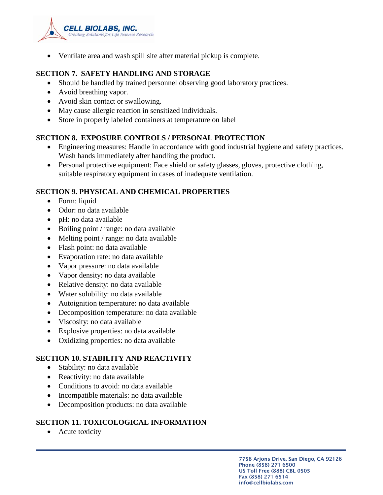

• Ventilate area and wash spill site after material pickup is complete.

### **SECTION 7. SAFETY HANDLING AND STORAGE**

- Should be handled by trained personnel observing good laboratory practices.
- Avoid breathing vapor.
- Avoid skin contact or swallowing.
- May cause allergic reaction in sensitized individuals.
- Store in properly labeled containers at temperature on label

### **SECTION 8. EXPOSURE CONTROLS / PERSONAL PROTECTION**

- Engineering measures: Handle in accordance with good industrial hygiene and safety practices. Wash hands immediately after handling the product.
- Personal protective equipment: Face shield or safety glasses, gloves, protective clothing, suitable respiratory equipment in cases of inadequate ventilation.

# **SECTION 9. PHYSICAL AND CHEMICAL PROPERTIES**

- Form: liquid
- Odor: no data available
- pH: no data available
- Boiling point / range: no data available
- Melting point / range: no data available
- Flash point: no data available
- Evaporation rate: no data available
- Vapor pressure: no data available
- Vapor density: no data available
- Relative density: no data available
- Water solubility: no data available
- Autoignition temperature: no data available
- Decomposition temperature: no data available
- Viscosity: no data available
- Explosive properties: no data available
- Oxidizing properties: no data available

### **SECTION 10. STABILITY AND REACTIVITY**

- Stability: no data available
- Reactivity: no data available
- Conditions to avoid: no data available
- Incompatible materials: no data available
- Decomposition products: no data available

# **SECTION 11. TOXICOLOGICAL INFORMATION**

• Acute toxicity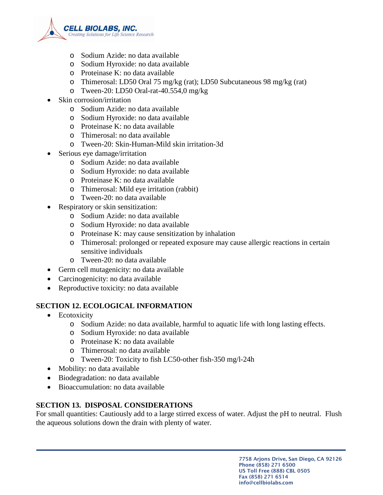

- o Sodium Azide: no data available
- o Sodium Hyroxide: no data available
- o Proteinase K: no data available
- o Thimerosal: LD50 Oral 75 mg/kg (rat); LD50 Subcutaneous 98 mg/kg (rat)
- o Tween-20: LD50 Oral-rat-40.554,0 mg/kg
- Skin corrosion/irritation
	- o Sodium Azide: no data available
	- o Sodium Hyroxide: no data available
	- o Proteinase K: no data available
	- o Thimerosal: no data available
	- o Tween-20: Skin-Human-Mild skin irritation-3d
- Serious eye damage/irritation
	- o Sodium Azide: no data available
	- o Sodium Hyroxide: no data available
	- o Proteinase K: no data available
	- o Thimerosal: Mild eye irritation (rabbit)
	- o Tween-20: no data available
- Respiratory or skin sensitization:
	- o Sodium Azide: no data available
	- o Sodium Hyroxide: no data available
	- o Proteinase K: may cause sensitization by inhalation
	- o Thimerosal: prolonged or repeated exposure may cause allergic reactions in certain sensitive individuals
	- o Tween-20: no data available
- Germ cell mutagenicity: no data available
- Carcinogenicity: no data available
- Reproductive toxicity: no data available

# **SECTION 12. ECOLOGICAL INFORMATION**

- Ecotoxicity
	- o Sodium Azide: no data available, harmful to aquatic life with long lasting effects.
	- o Sodium Hyroxide: no data available
	- o Proteinase K: no data available
	- o Thimerosal: no data available
	- o Tween-20: Toxicity to fish LC50-other fish-350 mg/l-24h
- Mobility: no data available
- Biodegradation: no data available
- Bioaccumulation: no data available

# **SECTION 13. DISPOSAL CONSIDERATIONS**

For small quantities: Cautiously add to a large stirred excess of water. Adjust the pH to neutral. Flush the aqueous solutions down the drain with plenty of water.